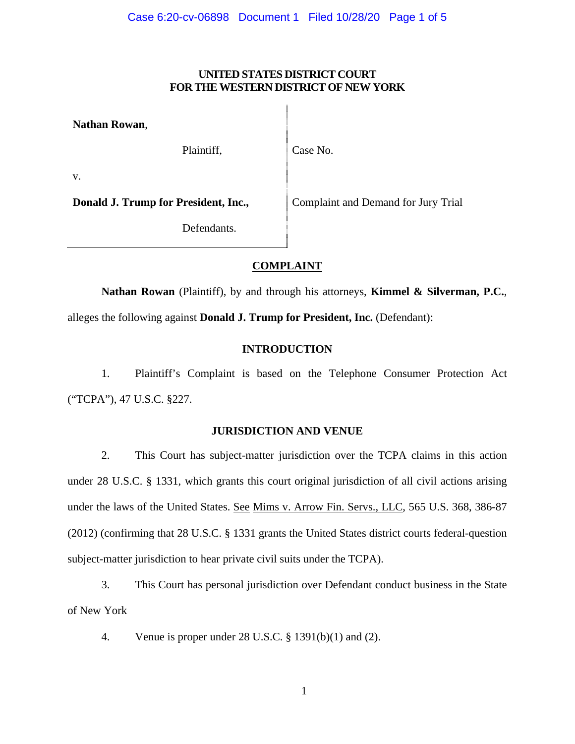### **UNITED STATES DISTRICT COURT FOR THE WESTERN DISTRICT OF NEW YORK**

**Nathan Rowan**,

Plaintiff, Case No.

v.

**Donald J. Trump for President, Inc., Complaint and Demand for Jury Trial** 

Defendants.

# **COMPLAINT**

**Nathan Rowan** (Plaintiff), by and through his attorneys, **Kimmel & Silverman, P.C.**, alleges the following against **Donald J. Trump for President, Inc.** (Defendant):

# **INTRODUCTION**

1. Plaintiff's Complaint is based on the Telephone Consumer Protection Act ("TCPA"), 47 U.S.C. §227.

## **JURISDICTION AND VENUE**

2. This Court has subject-matter jurisdiction over the TCPA claims in this action under 28 U.S.C. § 1331, which grants this court original jurisdiction of all civil actions arising under the laws of the United States. See Mims v. Arrow Fin. Servs., LLC, 565 U.S. 368, 386-87 (2012) (confirming that 28 U.S.C. § 1331 grants the United States district courts federal-question subject-matter jurisdiction to hear private civil suits under the TCPA).

3. This Court has personal jurisdiction over Defendant conduct business in the State of New York

4. Venue is proper under 28 U.S.C. § 1391(b)(1) and (2).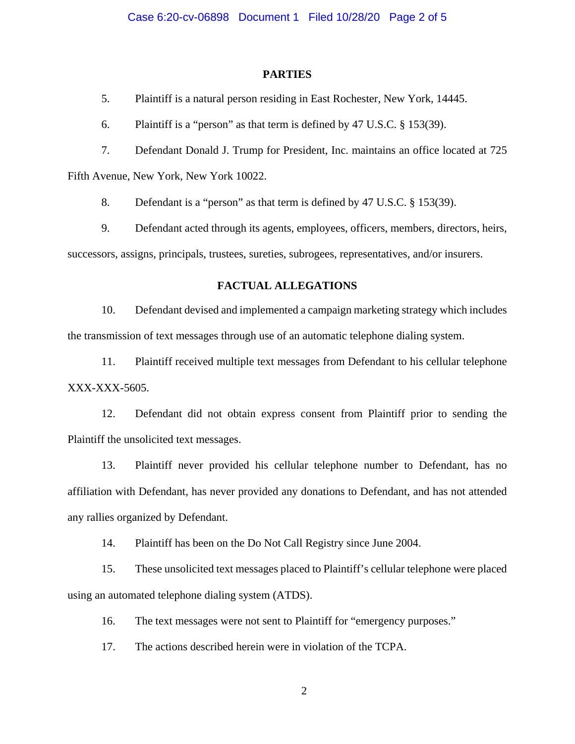#### **PARTIES**

5. Plaintiff is a natural person residing in East Rochester, New York, 14445.

6. Plaintiff is a "person" as that term is defined by 47 U.S.C. § 153(39).

7. Defendant Donald J. Trump for President, Inc. maintains an office located at 725

Fifth Avenue, New York, New York 10022.

8. Defendant is a "person" as that term is defined by 47 U.S.C. § 153(39).

9. Defendant acted through its agents, employees, officers, members, directors, heirs, successors, assigns, principals, trustees, sureties, subrogees, representatives, and/or insurers.

### **FACTUAL ALLEGATIONS**

10. Defendant devised and implemented a campaign marketing strategy which includes the transmission of text messages through use of an automatic telephone dialing system.

11. Plaintiff received multiple text messages from Defendant to his cellular telephone XXX-XXX-5605.

12. Defendant did not obtain express consent from Plaintiff prior to sending the Plaintiff the unsolicited text messages.

13. Plaintiff never provided his cellular telephone number to Defendant, has no affiliation with Defendant, has never provided any donations to Defendant, and has not attended any rallies organized by Defendant.

14. Plaintiff has been on the Do Not Call Registry since June 2004.

15. These unsolicited text messages placed to Plaintiff's cellular telephone were placed using an automated telephone dialing system (ATDS).

16. The text messages were not sent to Plaintiff for "emergency purposes."

17. The actions described herein were in violation of the TCPA.

2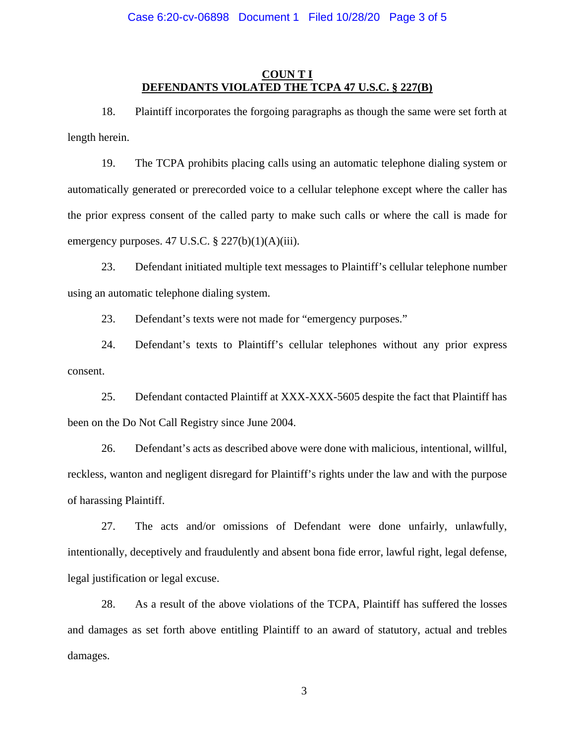#### Case 6:20-cv-06898 Document 1 Filed 10/28/20 Page 3 of 5

#### **COUN T I DEFENDANTS VIOLATED THE TCPA 47 U.S.C. § 227(B)**

18. Plaintiff incorporates the forgoing paragraphs as though the same were set forth at length herein.

19. The TCPA prohibits placing calls using an automatic telephone dialing system or automatically generated or prerecorded voice to a cellular telephone except where the caller has the prior express consent of the called party to make such calls or where the call is made for emergency purposes. 47 U.S.C.  $\S 227(b)(1)(A)(iii)$ .

23. Defendant initiated multiple text messages to Plaintiff's cellular telephone number using an automatic telephone dialing system.

23. Defendant's texts were not made for "emergency purposes."

24. Defendant's texts to Plaintiff's cellular telephones without any prior express consent.

25. Defendant contacted Plaintiff at XXX-XXX-5605 despite the fact that Plaintiff has been on the Do Not Call Registry since June 2004.

26. Defendant's acts as described above were done with malicious, intentional, willful, reckless, wanton and negligent disregard for Plaintiff's rights under the law and with the purpose of harassing Plaintiff.

27. The acts and/or omissions of Defendant were done unfairly, unlawfully, intentionally, deceptively and fraudulently and absent bona fide error, lawful right, legal defense, legal justification or legal excuse.

28. As a result of the above violations of the TCPA, Plaintiff has suffered the losses and damages as set forth above entitling Plaintiff to an award of statutory, actual and trebles damages.

3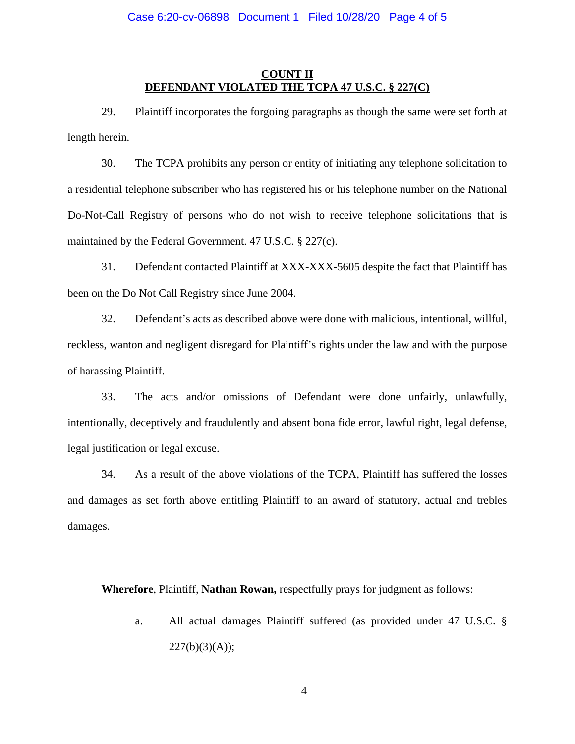### **COUNT II DEFENDANT VIOLATED THE TCPA 47 U.S.C. § 227(C)**

29. Plaintiff incorporates the forgoing paragraphs as though the same were set forth at length herein.

30. The TCPA prohibits any person or entity of initiating any telephone solicitation to a residential telephone subscriber who has registered his or his telephone number on the National Do-Not-Call Registry of persons who do not wish to receive telephone solicitations that is maintained by the Federal Government. 47 U.S.C. § 227(c).

31. Defendant contacted Plaintiff at XXX-XXX-5605 despite the fact that Plaintiff has been on the Do Not Call Registry since June 2004.

32. Defendant's acts as described above were done with malicious, intentional, willful, reckless, wanton and negligent disregard for Plaintiff's rights under the law and with the purpose of harassing Plaintiff.

33. The acts and/or omissions of Defendant were done unfairly, unlawfully, intentionally, deceptively and fraudulently and absent bona fide error, lawful right, legal defense, legal justification or legal excuse.

34. As a result of the above violations of the TCPA, Plaintiff has suffered the losses and damages as set forth above entitling Plaintiff to an award of statutory, actual and trebles damages.

**Wherefore**, Plaintiff, **Nathan Rowan,** respectfully prays for judgment as follows:

a. All actual damages Plaintiff suffered (as provided under 47 U.S.C. §  $227(b)(3)(A);$